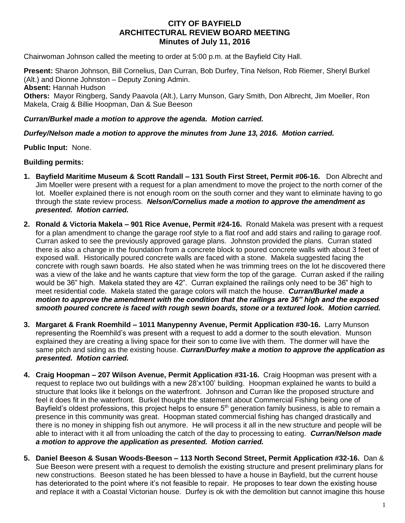## **CITY OF BAYFIELD ARCHITECTURAL REVIEW BOARD MEETING Minutes of July 11, 2016**

Chairwoman Johnson called the meeting to order at 5:00 p.m. at the Bayfield City Hall.

**Present:** Sharon Johnson, Bill Cornelius, Dan Curran, Bob Durfey, Tina Nelson, Rob Riemer, Sheryl Burkel (Alt.) and Dionne Johnston – Deputy Zoning Admin. **Absent:** Hannah Hudson **Others:** Mayor Ringberg, Sandy Paavola (Alt.), Larry Munson, Gary Smith, Don Albrecht, Jim Moeller, Ron Makela, Craig & Billie Hoopman, Dan & Sue Beeson

## *Curran/Burkel made a motion to approve the agenda. Motion carried.*

*Durfey/Nelson made a motion to approve the minutes from June 13, 2016. Motion carried.*

**Public Input:** None.

## **Building permits:**

- **1. Bayfield Maritime Museum & Scott Randall – 131 South First Street, Permit #06-16.** Don Albrecht and Jim Moeller were present with a request for a plan amendment to move the project to the north corner of the lot. Moeller explained there is not enough room on the south corner and they want to eliminate having to go through the state review process. *Nelson/Cornelius made a motion to approve the amendment as presented. Motion carried.*
- **2. Ronald & Victoria Makela – 901 Rice Avenue, Permit #24-16.** Ronald Makela was present with a request for a plan amendment to change the garage roof style to a flat roof and add stairs and railing to garage roof. Curran asked to see the previously approved garage plans. Johnston provided the plans. Curran stated there is also a change in the foundation from a concrete block to poured concrete walls with about 3 feet of exposed wall. Historically poured concrete walls are faced with a stone. Makela suggested facing the concrete with rough sawn boards. He also stated when he was trimming trees on the lot he discovered there was a view of the lake and he wants capture that view form the top of the garage. Curran asked if the railing would be 36" high. Makela stated they are 42". Curran explained the railings only need to be 36" high to meet residential code. Makela stated the garage colors will match the house. *Curran/Burkel made a motion to approve the amendment with the condition that the railings are 36" high and the exposed smooth poured concrete is faced with rough sewn boards, stone or a textured look. Motion carried.*
- **3. Margaret & Frank Roemhild – 1011 Manypenny Avenue, Permit Application #30-16.** Larry Munson representing the Roemhild's was present with a request to add a dormer to the south elevation. Munson explained they are creating a living space for their son to come live with them. The dormer will have the same pitch and siding as the existing house. *Curran/Durfey make a motion to approve the application as presented. Motion carried.*
- **4. Craig Hoopman – 207 Wilson Avenue, Permit Application #31-16.** Craig Hoopman was present with a request to replace two out buildings with a new 28'x100' building. Hoopman explained he wants to build a structure that looks like it belongs on the waterfront. Johnson and Curran like the proposed structure and feel it does fit in the waterfront. Burkel thought the statement about Commercial Fishing being one of Bayfield's oldest professions, this project helps to ensure  $5<sup>th</sup>$  generation family business, is able to remain a presence in this community was great. Hoopman stated commercial fishing has changed drastically and there is no money in shipping fish out anymore. He will process it all in the new structure and people will be able to interact with it all from unloading the catch of the day to processing to eating. *Curran/Nelson made a motion to approve the application as presented. Motion carried.*
- **5. Daniel Beeson & Susan Woods-Beeson – 113 North Second Street, Permit Application #32-16.** Dan & Sue Beeson were present with a request to demolish the existing structure and present preliminary plans for new constructions. Beeson stated he has been blessed to have a house in Bayfield, but the current house has deteriorated to the point where it's not feasible to repair. He proposes to tear down the existing house and replace it with a Coastal Victorian house. Durfey is ok with the demolition but cannot imagine this house